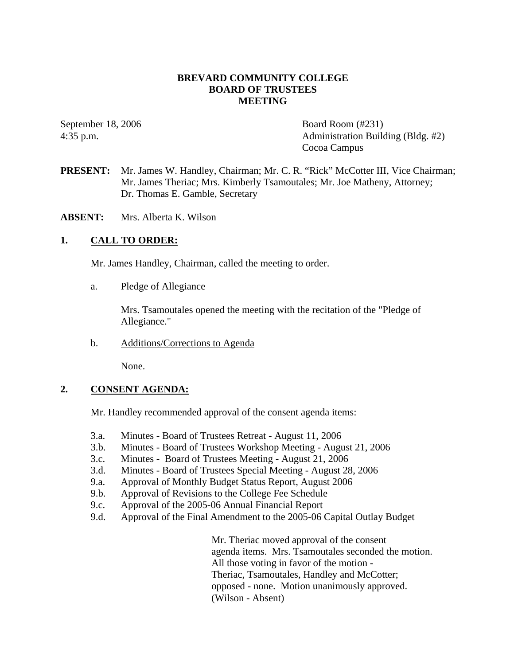## **BREVARD COMMUNITY COLLEGE BOARD OF TRUSTEES MEETING**

September 18, 2006 Board Room (#231) 4:35 p.m. Administration Building (Bldg. #2) Cocoa Campus

- **PRESENT:** Mr. James W. Handley, Chairman; Mr. C. R. "Rick" McCotter III, Vice Chairman; Mr. James Theriac; Mrs. Kimberly Tsamoutales; Mr. Joe Matheny, Attorney; Dr. Thomas E. Gamble, Secretary
- **ABSENT:** Mrs. Alberta K. Wilson

## **1. CALL TO ORDER:**

Mr. James Handley, Chairman, called the meeting to order.

a. Pledge of Allegiance

Mrs. Tsamoutales opened the meeting with the recitation of the "Pledge of Allegiance."

b. Additions/Corrections to Agenda

None.

### **2. CONSENT AGENDA:**

Mr. Handley recommended approval of the consent agenda items:

- 3.a. Minutes Board of Trustees Retreat August 11, 2006
- 3.b. Minutes Board of Trustees Workshop Meeting August 21, 2006
- 3.c. Minutes Board of Trustees Meeting August 21, 2006
- 3.d. Minutes Board of Trustees Special Meeting August 28, 2006
- 9.a. Approval of Monthly Budget Status Report, August 2006
- 9.b. Approval of Revisions to the College Fee Schedule
- 9.c. Approval of the 2005-06 Annual Financial Report
- 9.d. Approval of the Final Amendment to the 2005-06 Capital Outlay Budget

Mr. Theriac moved approval of the consent agenda items. Mrs. Tsamoutales seconded the motion. All those voting in favor of the motion - Theriac, Tsamoutales, Handley and McCotter; opposed - none. Motion unanimously approved. (Wilson - Absent)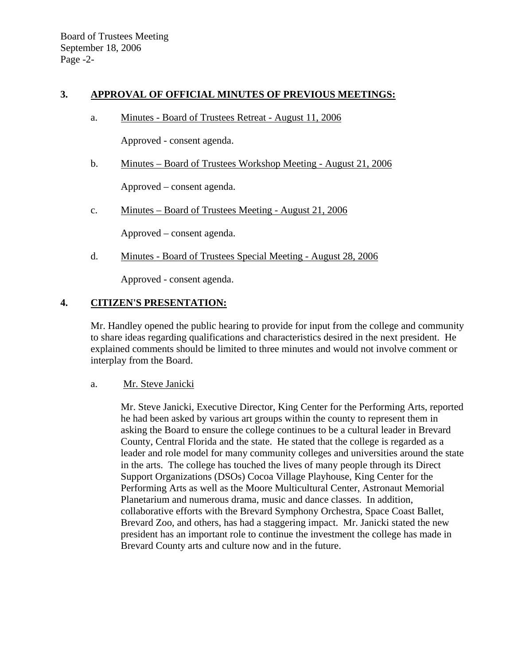## **3. APPROVAL OF OFFICIAL MINUTES OF PREVIOUS MEETINGS:**

a. Minutes - Board of Trustees Retreat - August 11, 2006

Approved - consent agenda.

b. Minutes – Board of Trustees Workshop Meeting - August 21, 2006

Approved – consent agenda.

c. Minutes – Board of Trustees Meeting - August 21, 2006

Approved – consent agenda.

d. Minutes - Board of Trustees Special Meeting - August 28, 2006

Approved - consent agenda.

## **4. CITIZEN'S PRESENTATION:**

Mr. Handley opened the public hearing to provide for input from the college and community to share ideas regarding qualifications and characteristics desired in the next president. He explained comments should be limited to three minutes and would not involve comment or interplay from the Board.

### a. Mr. Steve Janicki

Mr. Steve Janicki, Executive Director, King Center for the Performing Arts, reported he had been asked by various art groups within the county to represent them in asking the Board to ensure the college continues to be a cultural leader in Brevard County, Central Florida and the state. He stated that the college is regarded as a leader and role model for many community colleges and universities around the state in the arts. The college has touched the lives of many people through its Direct Support Organizations (DSOs) Cocoa Village Playhouse, King Center for the Performing Arts as well as the Moore Multicultural Center, Astronaut Memorial Planetarium and numerous drama, music and dance classes. In addition, collaborative efforts with the Brevard Symphony Orchestra, Space Coast Ballet, Brevard Zoo, and others, has had a staggering impact. Mr. Janicki stated the new president has an important role to continue the investment the college has made in Brevard County arts and culture now and in the future.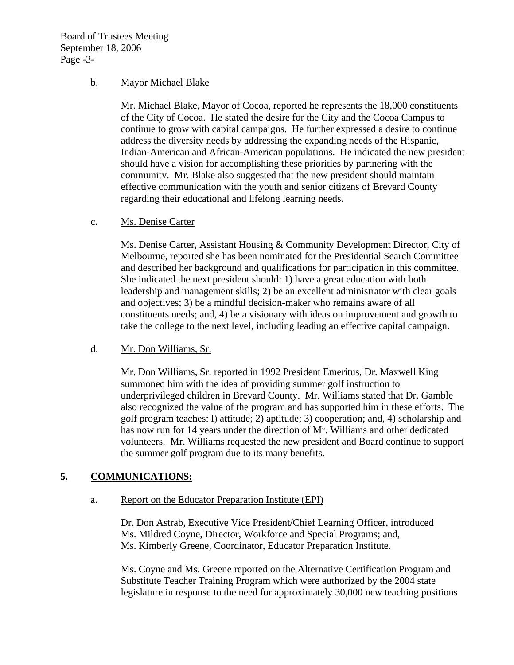Board of Trustees Meeting September 18, 2006 Page -3-

### b. Mayor Michael Blake

Mr. Michael Blake, Mayor of Cocoa, reported he represents the 18,000 constituents of the City of Cocoa. He stated the desire for the City and the Cocoa Campus to continue to grow with capital campaigns. He further expressed a desire to continue address the diversity needs by addressing the expanding needs of the Hispanic, Indian-American and African-American populations. He indicated the new president should have a vision for accomplishing these priorities by partnering with the community. Mr. Blake also suggested that the new president should maintain effective communication with the youth and senior citizens of Brevard County regarding their educational and lifelong learning needs.

### c. Ms. Denise Carter

Ms. Denise Carter, Assistant Housing & Community Development Director, City of Melbourne, reported she has been nominated for the Presidential Search Committee and described her background and qualifications for participation in this committee. She indicated the next president should: 1) have a great education with both leadership and management skills; 2) be an excellent administrator with clear goals and objectives; 3) be a mindful decision-maker who remains aware of all constituents needs; and, 4) be a visionary with ideas on improvement and growth to take the college to the next level, including leading an effective capital campaign.

### d. Mr. Don Williams, Sr.

Mr. Don Williams, Sr. reported in 1992 President Emeritus, Dr. Maxwell King summoned him with the idea of providing summer golf instruction to underprivileged children in Brevard County. Mr. Williams stated that Dr. Gamble also recognized the value of the program and has supported him in these efforts. The golf program teaches: l) attitude; 2) aptitude; 3) cooperation; and, 4) scholarship and has now run for 14 years under the direction of Mr. Williams and other dedicated volunteers. Mr. Williams requested the new president and Board continue to support the summer golf program due to its many benefits.

# **5. COMMUNICATIONS:**

### a. Report on the Educator Preparation Institute (EPI)

Dr. Don Astrab, Executive Vice President/Chief Learning Officer, introduced Ms. Mildred Coyne, Director, Workforce and Special Programs; and, Ms. Kimberly Greene, Coordinator, Educator Preparation Institute.

Ms. Coyne and Ms. Greene reported on the Alternative Certification Program and Substitute Teacher Training Program which were authorized by the 2004 state legislature in response to the need for approximately 30,000 new teaching positions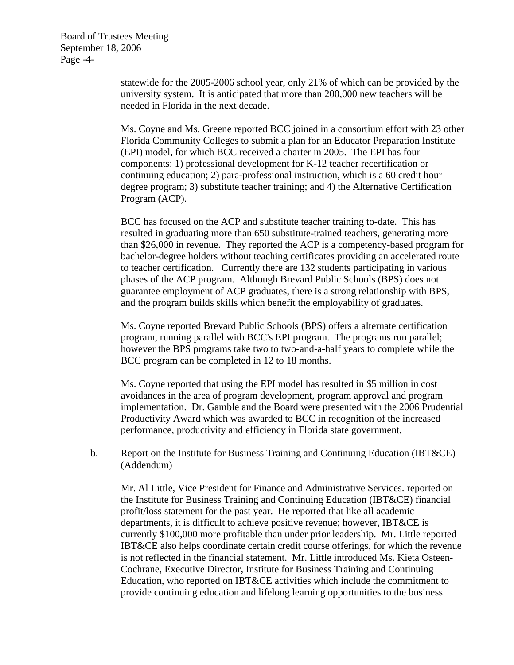Board of Trustees Meeting September 18, 2006 Page -4-

> statewide for the 2005-2006 school year, only 21% of which can be provided by the university system. It is anticipated that more than 200,000 new teachers will be needed in Florida in the next decade.

Ms. Coyne and Ms. Greene reported BCC joined in a consortium effort with 23 other Florida Community Colleges to submit a plan for an Educator Preparation Institute (EPI) model, for which BCC received a charter in 2005. The EPI has four components: 1) professional development for K-12 teacher recertification or continuing education; 2) para-professional instruction, which is a 60 credit hour degree program; 3) substitute teacher training; and 4) the Alternative Certification Program (ACP).

BCC has focused on the ACP and substitute teacher training to-date. This has resulted in graduating more than 650 substitute-trained teachers, generating more than \$26,000 in revenue. They reported the ACP is a competency-based program for bachelor-degree holders without teaching certificates providing an accelerated route to teacher certification. Currently there are 132 students participating in various phases of the ACP program. Although Brevard Public Schools (BPS) does not guarantee employment of ACP graduates, there is a strong relationship with BPS, and the program builds skills which benefit the employability of graduates.

Ms. Coyne reported Brevard Public Schools (BPS) offers a alternate certification program, running parallel with BCC's EPI program. The programs run parallel; however the BPS programs take two to two-and-a-half years to complete while the BCC program can be completed in 12 to 18 months.

Ms. Coyne reported that using the EPI model has resulted in \$5 million in cost avoidances in the area of program development, program approval and program implementation. Dr. Gamble and the Board were presented with the 2006 Prudential Productivity Award which was awarded to BCC in recognition of the increased performance, productivity and efficiency in Florida state government.

### b. Report on the Institute for Business Training and Continuing Education (IBT&CE) (Addendum)

Mr. Al Little, Vice President for Finance and Administrative Services. reported on the Institute for Business Training and Continuing Education (IBT&CE) financial profit/loss statement for the past year. He reported that like all academic departments, it is difficult to achieve positive revenue; however, IBT&CE is currently \$100,000 more profitable than under prior leadership. Mr. Little reported IBT&CE also helps coordinate certain credit course offerings, for which the revenue is not reflected in the financial statement. Mr. Little introduced Ms. Kieta Osteen-Cochrane, Executive Director, Institute for Business Training and Continuing Education, who reported on IBT&CE activities which include the commitment to provide continuing education and lifelong learning opportunities to the business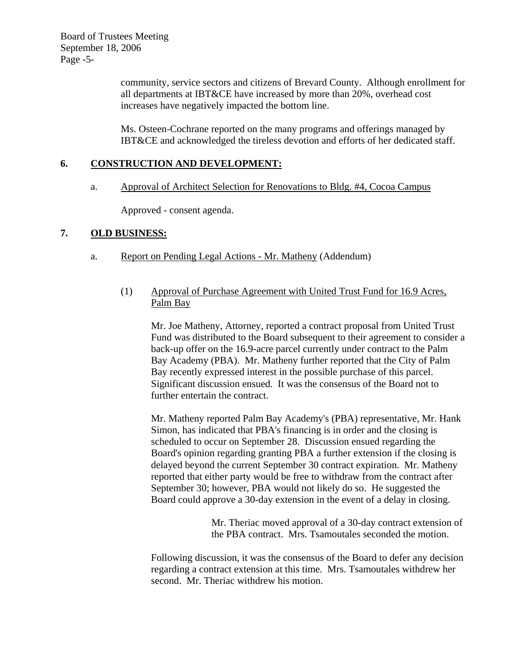Board of Trustees Meeting September 18, 2006 Page -5-

> community, service sectors and citizens of Brevard County. Although enrollment for all departments at IBT&CE have increased by more than 20%, overhead cost increases have negatively impacted the bottom line.

Ms. Osteen-Cochrane reported on the many programs and offerings managed by IBT&CE and acknowledged the tireless devotion and efforts of her dedicated staff.

## **6. CONSTRUCTION AND DEVELOPMENT:**

a. Approval of Architect Selection for Renovations to Bldg. #4, Cocoa Campus

Approved - consent agenda.

### **7. OLD BUSINESS:**

a. Report on Pending Legal Actions - Mr. Matheny (Addendum)

### (1) Approval of Purchase Agreement with United Trust Fund for 16.9 Acres, Palm Bay

Mr. Joe Matheny, Attorney, reported a contract proposal from United Trust Fund was distributed to the Board subsequent to their agreement to consider a back-up offer on the 16.9-acre parcel currently under contract to the Palm Bay Academy (PBA). Mr. Matheny further reported that the City of Palm Bay recently expressed interest in the possible purchase of this parcel. Significant discussion ensued. It was the consensus of the Board not to further entertain the contract.

Mr. Matheny reported Palm Bay Academy's (PBA) representative, Mr. Hank Simon, has indicated that PBA's financing is in order and the closing is scheduled to occur on September 28. Discussion ensued regarding the Board's opinion regarding granting PBA a further extension if the closing is delayed beyond the current September 30 contract expiration. Mr. Matheny reported that either party would be free to withdraw from the contract after September 30; however, PBA would not likely do so. He suggested the Board could approve a 30-day extension in the event of a delay in closing.

> Mr. Theriac moved approval of a 30-day contract extension of the PBA contract. Mrs. Tsamoutales seconded the motion.

Following discussion, it was the consensus of the Board to defer any decision regarding a contract extension at this time. Mrs. Tsamoutales withdrew her second. Mr. Theriac withdrew his motion.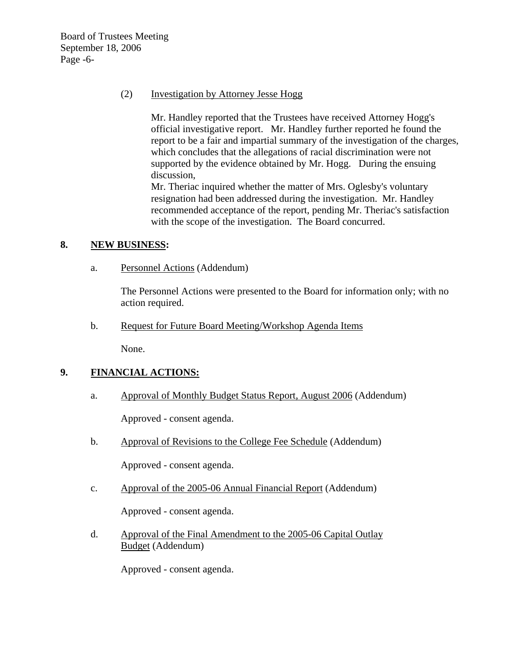Board of Trustees Meeting September 18, 2006 Page -6-

## (2) Investigation by Attorney Jesse Hogg

Mr. Handley reported that the Trustees have received Attorney Hogg's official investigative report. Mr. Handley further reported he found the report to be a fair and impartial summary of the investigation of the charges, which concludes that the allegations of racial discrimination were not supported by the evidence obtained by Mr. Hogg. During the ensuing discussion,

Mr. Theriac inquired whether the matter of Mrs. Oglesby's voluntary resignation had been addressed during the investigation. Mr. Handley recommended acceptance of the report, pending Mr. Theriac's satisfaction with the scope of the investigation. The Board concurred.

### **8. NEW BUSINESS:**

a. Personnel Actions (Addendum)

The Personnel Actions were presented to the Board for information only; with no action required.

b. Request for Future Board Meeting/Workshop Agenda Items

None.

# **9. FINANCIAL ACTIONS:**

a. Approval of Monthly Budget Status Report, August 2006 (Addendum)

Approved - consent agenda.

b. Approval of Revisions to the College Fee Schedule (Addendum)

Approved - consent agenda.

c. Approval of the 2005-06 Annual Financial Report (Addendum)

Approved - consent agenda.

 d. Approval of the Final Amendment to the 2005-06 Capital Outlay Budget (Addendum)

Approved - consent agenda.